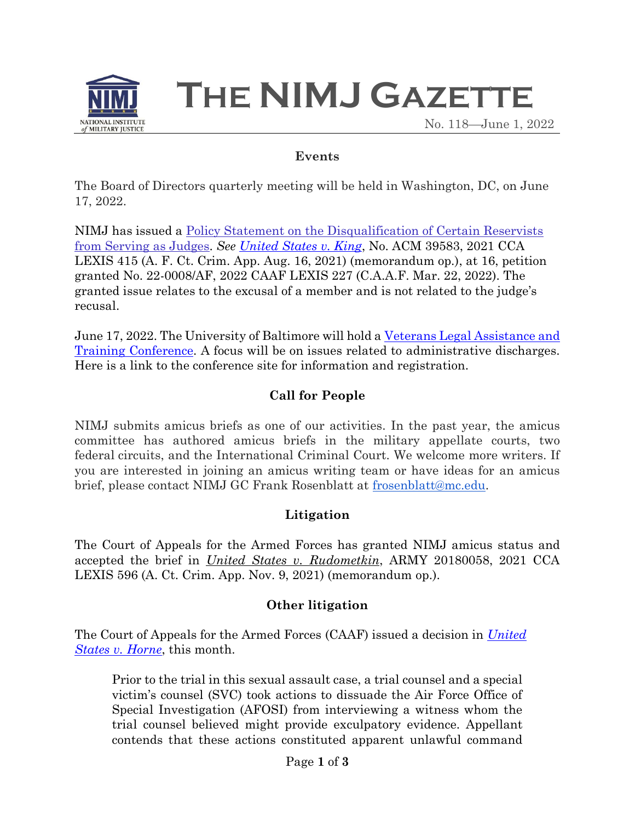

**THE NIMJ GAZETTE**

No. 118—June 1, 2022

### **Events**

The Board of Directors quarterly meeting will be held in Washington, DC, on June 17, 2022.

NIMJ has issued a Policy Statement on the Disqualification of Certain Reservists from Serving as Judges. *See United States v. King*, No. ACM 39583, 2021 CCA LEXIS 415 (A. F. Ct. Crim. App. Aug. 16, 2021) (memorandum op.), at 16, petition granted No. 22-0008/AF, 2022 CAAF LEXIS 227 (C.A.A.F. Mar. 22, 2022). The granted issue relates to the excusal of a member and is not related to the judge's recusal.

June 17, 2022. The University of Baltimore will hold a Veterans Legal Assistance and Training Conference. A focus will be on issues related to administrative discharges. Here is a link to the conference site for information and registration.

# **Call for People**

NIMJ submits amicus briefs as one of our activities. In the past year, the amicus committee has authored amicus briefs in the military appellate courts, two federal circuits, and the International Criminal Court. We welcome more writers. If you are interested in joining an amicus writing team or have ideas for an amicus brief, please contact NIMJ GC Frank Rosenblatt at frosenblatt@mc.edu.

## **Litigation**

The Court of Appeals for the Armed Forces has granted NIMJ amicus status and accepted the brief in *United States v. Rudometkin*, ARMY 20180058, 2021 CCA LEXIS 596 (A. Ct. Crim. App. Nov. 9, 2021) (memorandum op.).

## **Other litigation**

The Court of Appeals for the Armed Forces (CAAF) issued a decision in *United States v. Horne*, this month.

Prior to the trial in this sexual assault case, a trial counsel and a special victim's counsel (SVC) took actions to dissuade the Air Force Office of Special Investigation (AFOSI) from interviewing a witness whom the trial counsel believed might provide exculpatory evidence. Appellant contends that these actions constituted apparent unlawful command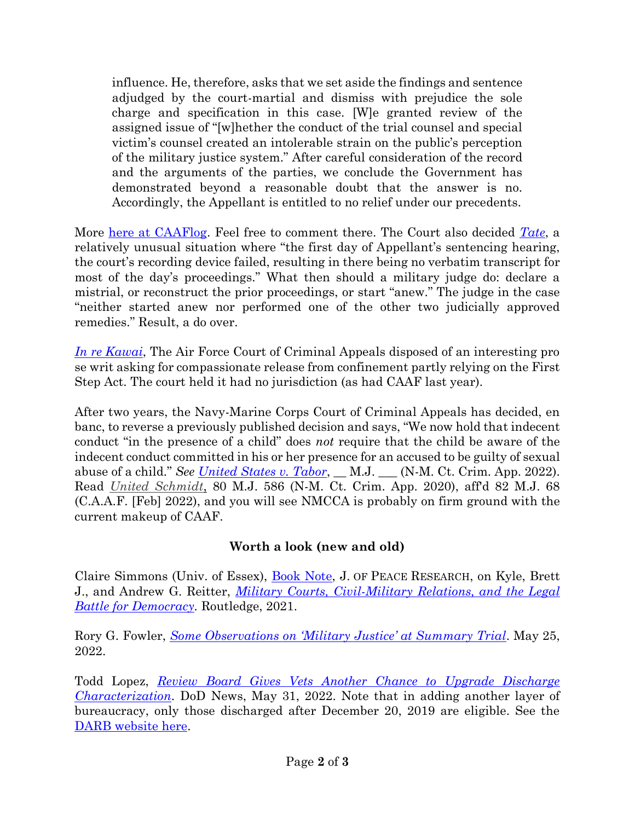influence. He, therefore, asks that we set aside the findings and sentence adjudged by the court-martial and dismiss with prejudice the sole charge and specification in this case. [W]e granted review of the assigned issue of "[w]hether the conduct of the trial counsel and special victim's counsel created an intolerable strain on the public's perception of the military justice system." After careful consideration of the record and the arguments of the parties, we conclude the Government has demonstrated beyond a reasonable doubt that the answer is no. Accordingly, the Appellant is entitled to no relief under our precedents.

More [here at CAAFlog.](https://www.nimj.org/caaflog/court-of-appeals-for-the-armed-forces-horne) Feel free to comment there. The Court also decided *[Tate](https://www.armfor.uscourts.gov/opinions/2021OctTerm/210235.pdf)*, a relatively unusual situation where "the first day of Appellant's sentencing hearing, the court's recording device failed, resulting in there being no verbatim transcript for most of the day's proceedings." What then should a military judge do: declare a mistrial, or reconstruct the prior proceedings, or start "anew." The judge in the case "neither started anew nor performed one of the other two judicially approved remedies." Result, a do over.

*[In re Kawai](https://afcca.law.af.mil/afcca_opinions/cp/in_re_kawai-_misc__dkt__no__2022-02_-_order_733664.pdf)*, The Air Force Court of Criminal Appeals disposed of an interesting pro se writ asking for compassionate release from confinement partly relying on the First Step Act. The court held it had no jurisdiction (as had CAAF last year).

After two years, the Navy-Marine Corps Court of Criminal Appeals has decided, en banc, to reverse a previously published decision and says, "We now hold that indecent conduct "in the presence of a child" does *not* require that the child be aware of the indecent conduct committed in his or her presence for an accused to be guilty of sexual abuse of a child." *See [United States v. Tabor](https://www.jag.navy.mil/courts/documents/archive/2022/TABOR_202100046_EN-BANC_PUB-Concur-Dissent.pdf)*, \_\_ M.J. \_\_\_ (N-M. Ct. Crim. App. 2022). Read *[United Schmidt](https://www.jag.navy.mil/courts/documents/archive/2020/SCHMIDT_201900043_PUB.pdf)*, 80 M.J. 586 (N-M. Ct. Crim. App. 2020), aff'd 82 M.J. 68 (C.A.A.F. [Feb] 2022), and you will see NMCCA is probably on firm ground with the current makeup of CAAF.

## **Worth a look (new and old)**

Claire Simmons (Univ. of Essex), [Book Note,](https://www.prio.org/journals/jpr/booknotes/3143) J. OF PEACE RESEARCH, on Kyle, Brett J., and Andrew G. Reitter, *[Military Courts, Civil-Military Relations, and the Legal](https://www.routledge.com/Military-Courts-Civil-Military-Relations-and-the-Legal-Battle-for-Democracy/Kyle-Reiter/p/book/9780367029944)  [Battle for Democracy.](https://www.routledge.com/Military-Courts-Civil-Military-Relations-and-the-Legal-Battle-for-Democracy/Kyle-Reiter/p/book/9780367029944)* Routledge, 2021.

Rory G. Fowler, *[Some Observations on 'Military Justice' at Summary Trial](http://roryfowlerlaw.com/some-observations-on-military-justice-at-summary-trial-part-i/)*. May 25, 2022.

Todd Lopez, *[Review Board Gives Vets Another Chance to Upgrade Discharge](https://www.defense.gov/News/News-Stories/Article/Article/3045028/review-board-gives-vets-another-chance-to-upgrade-discharge-characterization/)  [Characterization](https://www.defense.gov/News/News-Stories/Article/Article/3045028/review-board-gives-vets-another-chance-to-upgrade-discharge-characterization/)*. DoD News, May 31, 2022. Note that in adding another layer of bureaucracy, only those discharged after December 20, 2019 are eligible. See the [DARB website here.](https://afrba-portal.cce.af.mil/#application-submission-darb)